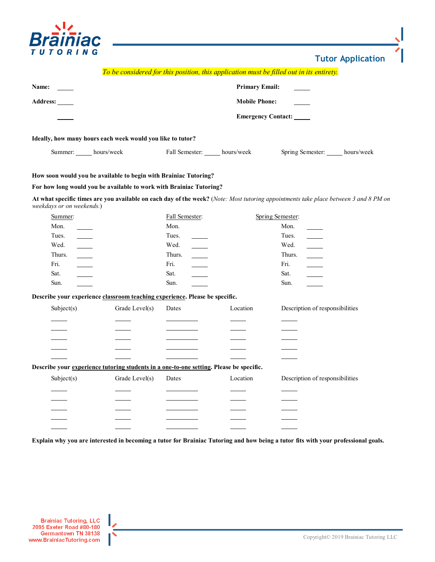

**Tutor Application**

|                           |                                                                                         |                                    |                      | To be considered for this position, this application must be filled out in its entirety.                                             |  |  |
|---------------------------|-----------------------------------------------------------------------------------------|------------------------------------|----------------------|--------------------------------------------------------------------------------------------------------------------------------------|--|--|
| Name:                     | <b>Primary Email:</b>                                                                   |                                    |                      |                                                                                                                                      |  |  |
| Address: _____            |                                                                                         |                                    | <b>Mobile Phone:</b> |                                                                                                                                      |  |  |
|                           |                                                                                         | <b>Emergency Contact:</b>          |                      |                                                                                                                                      |  |  |
|                           |                                                                                         |                                    |                      |                                                                                                                                      |  |  |
|                           | Ideally, how many hours each week would you like to tutor?                              |                                    |                      |                                                                                                                                      |  |  |
|                           | Summer: hours/week                                                                      | Fall Semester: hours/week          |                      | Spring Semester: hours/week                                                                                                          |  |  |
|                           | How soon would you be available to begin with Brainiac Tutoring?                        |                                    |                      |                                                                                                                                      |  |  |
|                           | For how long would you be available to work with Brainiac Tutoring?                     |                                    |                      |                                                                                                                                      |  |  |
|                           |                                                                                         |                                    |                      | At what specific times are you available on each day of the week? (Note: Most tutoring appointments take place between 3 and 8 PM on |  |  |
| weekdays or on weekends.) |                                                                                         |                                    |                      |                                                                                                                                      |  |  |
| Summer:                   |                                                                                         | Fall Semester:                     |                      | Spring Semester:                                                                                                                     |  |  |
| Mon.                      |                                                                                         | Mon.                               |                      | Mon.                                                                                                                                 |  |  |
| Tues.                     |                                                                                         | Tues.                              |                      | Tues.                                                                                                                                |  |  |
| Wed.                      |                                                                                         | Wed.                               |                      | Wed.                                                                                                                                 |  |  |
| $\mathbb{R}^n$<br>Thurs.  |                                                                                         | $\overline{\phantom{a}}$<br>Thurs. |                      | $\frac{1}{1}$<br>Thurs.                                                                                                              |  |  |
| Fri.<br>$\sim$            |                                                                                         | Fri.                               |                      | Fri.                                                                                                                                 |  |  |
| Sat.                      |                                                                                         | Sat.                               |                      | Sat.                                                                                                                                 |  |  |
| Sun.                      |                                                                                         | Sun.                               |                      | Sun.                                                                                                                                 |  |  |
|                           | Describe your experience classroom teaching experience. Please be specific.             |                                    |                      |                                                                                                                                      |  |  |
| Subject(s)                | Grade Level(s)                                                                          | Dates                              | Location             | Description of responsibilities                                                                                                      |  |  |
|                           |                                                                                         |                                    |                      |                                                                                                                                      |  |  |
|                           |                                                                                         |                                    |                      |                                                                                                                                      |  |  |
|                           |                                                                                         |                                    |                      |                                                                                                                                      |  |  |
|                           |                                                                                         |                                    |                      |                                                                                                                                      |  |  |
|                           |                                                                                         |                                    |                      |                                                                                                                                      |  |  |
|                           | Describe your experience tutoring students in a one-to-one setting. Please be specific. |                                    |                      |                                                                                                                                      |  |  |
| Subject(s)                | Grade Level(s)                                                                          | Dates                              | Location             | Description of responsibilities                                                                                                      |  |  |
|                           |                                                                                         |                                    |                      |                                                                                                                                      |  |  |
|                           |                                                                                         |                                    |                      |                                                                                                                                      |  |  |
|                           |                                                                                         |                                    |                      |                                                                                                                                      |  |  |
|                           |                                                                                         |                                    |                      |                                                                                                                                      |  |  |
|                           |                                                                                         |                                    |                      |                                                                                                                                      |  |  |
|                           |                                                                                         |                                    |                      | Explain why you are interested in becoming a tutor for Brainiac Tutoring and how being a tutor fits with your professional goals.    |  |  |
|                           |                                                                                         |                                    |                      |                                                                                                                                      |  |  |
|                           |                                                                                         |                                    |                      |                                                                                                                                      |  |  |

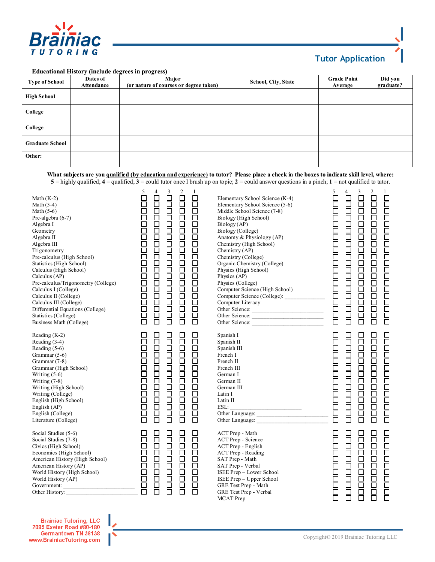

## **Tutor Application**

## **Educational History (include degrees in progress)**

| <b>Type of School</b>  | Dates of<br>Attendance | Major<br>(or nature of courses or degree taken) | <b>School, City, State</b> | <b>Grade Point</b><br>Average | Did you<br>graduate? |
|------------------------|------------------------|-------------------------------------------------|----------------------------|-------------------------------|----------------------|
| <b>High School</b>     |                        |                                                 |                            |                               |                      |
| College                |                        |                                                 |                            |                               |                      |
| College                |                        |                                                 |                            |                               |                      |
| <b>Graduate School</b> |                        |                                                 |                            |                               |                      |
| Other:                 |                        |                                                 |                            |                               |                      |

**What subjects are you qualified (by education and experience) to tutor? Please place a check in the boxes to indicate skill level, where: 5** = highly qualified; **4** = qualified; **3** = could tutor once I brush up on topic; **2** = could answer questions in a pinch; **1** = not qualified to tutor.

| Math $(K-2)$<br>Math $(3-4)$<br>Math $(5-6)$<br>Pre-algebra $(6-7)$<br>Algebra I<br>Geometry<br>Algebra II<br>Algebra III<br>Trigonometry<br>Pre-calculus (High School)<br>Statistics (High School)<br>Calculus (High School)<br>Calculus (AP)<br>Pre-calculus/Trigonometry (College)<br>Calculus I (College)<br>Calculus II (College)<br>Calculus III (College)<br>Differential Equations (College)<br>Statistics (College)<br>Business Math (College) | - 0000000000000000000000<br>5<br>4<br>$\mathbf{1}$<br>$\Box$<br>$\Box$<br>Ō<br>000000000000000000<br>100000000000000000<br>100000000000000000<br>Ō | Elementary School Science (K-4)<br>Elementary School Science (5-6)<br>Middle School Science (7-8)<br>Biology (High School)<br>Biology (AP)<br>Biology (College)<br>Anatomy & Physiology (AP)<br>Chemistry (High School)<br>Chemistry (AP)<br>Chemistry (College)<br>Organic Chemistry (College)<br>Organic Chemistry (Conege)<br>Physics (High School)<br>Physics (AP)<br>Physics (College)<br>Computer Science (High School)<br>Computer Science (College):<br>Computer Literacy<br>Computer Literacy<br>Other Science:<br><u>Other Science:</u><br>Other Science: | $\overline{\square}$<br>4<br>0000000000000000000<br>- 1000000000000000000<br>1<br>00000000000000000000<br>$\Box$<br>Ō<br>目<br>$\bar{\bm{\Pi}}$<br>百<br>$\bar{\Xi}$<br>Ē<br>000000000000000<br>Ō<br>亘<br>靣<br>0000000<br>Ŏ<br>Ō |
|---------------------------------------------------------------------------------------------------------------------------------------------------------------------------------------------------------------------------------------------------------------------------------------------------------------------------------------------------------------------------------------------------------------------------------------------------------|----------------------------------------------------------------------------------------------------------------------------------------------------|---------------------------------------------------------------------------------------------------------------------------------------------------------------------------------------------------------------------------------------------------------------------------------------------------------------------------------------------------------------------------------------------------------------------------------------------------------------------------------------------------------------------------------------------------------------------|--------------------------------------------------------------------------------------------------------------------------------------------------------------------------------------------------------------------------------|
| Reading $(K-2)$<br>Reading (3-4)<br>Reading $(5-6)$<br>Grammar (5-6)<br>Grammar (7-8)<br>Grammar (High School)<br>Writing $(5-6)$<br>Writing $(7-8)$<br>Writing (High School)<br>Writing (College)<br>English (High School)<br>English (AP)<br>English (College)<br>Literature (College)                                                                                                                                                                | $\Box$<br>000000000000000<br>000000000000000<br>00000000000000<br>100000000000000<br>10000000000000<br>帀                                           | Spanish I<br>Spanish II<br>Spanish III<br>French I<br>French II<br>French III<br>German I<br>German II<br>German III<br>Latin I<br>Latin II                                                                                                                                                                                                                                                                                                                                                                                                                         | $\Box$<br>100000000000000<br>100000000000000<br>00000<br>100000000000000<br>П<br>Ō<br>000000<br>000000<br>Ē<br>靣<br>Ē<br>Ō<br>$\Box$<br>$\Box$                                                                                 |
| Social Studies (5-6)<br>Social Studies (7-8)<br>Civics (High School)<br>Economics (High School)<br>Economies (ingli School)<br>American History (High School)<br>Morld History (AP)<br>World History (High School)<br>World History (AP)<br>Government:<br>Other History:                                                                                                                                                                               | 1000000000<br>10000000000<br>0000000000<br>0000000000<br>1000000000                                                                                | ACT Prep - Math<br>ACT Prep - Science<br>ACT Prep - English<br><b>ACT Prep - Reading</b><br>SAT Prep - Math<br>SAT Prep - Verbal<br>ISEE Prep - Lower School<br>ISEE Prep - Upper School<br>GRE Test Prep - Math<br>GRE Test Prep - Verbal<br><b>MCAT</b> Prep                                                                                                                                                                                                                                                                                                      | 000000000000<br>$\Box$<br>00000000000<br>00000<br>0000<br>000000000000<br>$\Box$<br>000000<br>目<br>Ē<br>目                                                                                                                      |

**Brainiac Tutoring, LLC** 2095 Exeter Road #80-180 Germantown TN 38138 www.BrainiacTutoring.com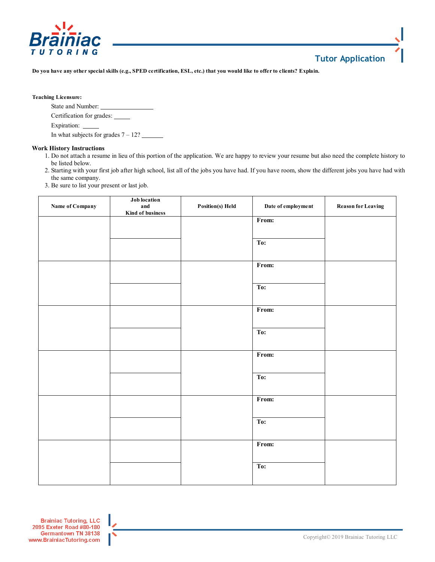

## **Tutor Application**

**Do you have any other special skills (e.g., SPED certification, ESL, etc.) that you would like to offer to clients? Explain.** 

## **Teaching Licensure:**

State and Number: Certification for grades: Expiration: In what subjects for grades  $7 - 12$ ?

**Work History Instructions**

- 1. Do not attach a resume in lieu of this portion of the application. We are happy to review your resume but also need the complete history to be listed below.
- 2. Starting with your first job after high school, list all of the jobs you have had. If you have room, show the different jobs you have had with the same company.
- 3. Be sure to list your present or last job.

| Name of Company | Job location<br>and<br>Kind of business | Position(s) Held | Date of employment | <b>Reason for Leaving</b> |
|-----------------|-----------------------------------------|------------------|--------------------|---------------------------|
|                 |                                         |                  | From:              |                           |
|                 |                                         |                  | $T_{0}$ :          |                           |
|                 |                                         |                  | From:              |                           |
|                 |                                         |                  | To:                |                           |
|                 |                                         |                  | From:              |                           |
|                 |                                         |                  | To:                |                           |
|                 |                                         |                  | From:              |                           |
|                 |                                         |                  | To:                |                           |
|                 |                                         |                  | From:              |                           |
|                 |                                         |                  | To:                |                           |
|                 |                                         |                  | From:              |                           |
|                 |                                         |                  | To:                |                           |
|                 |                                         |                  |                    |                           |